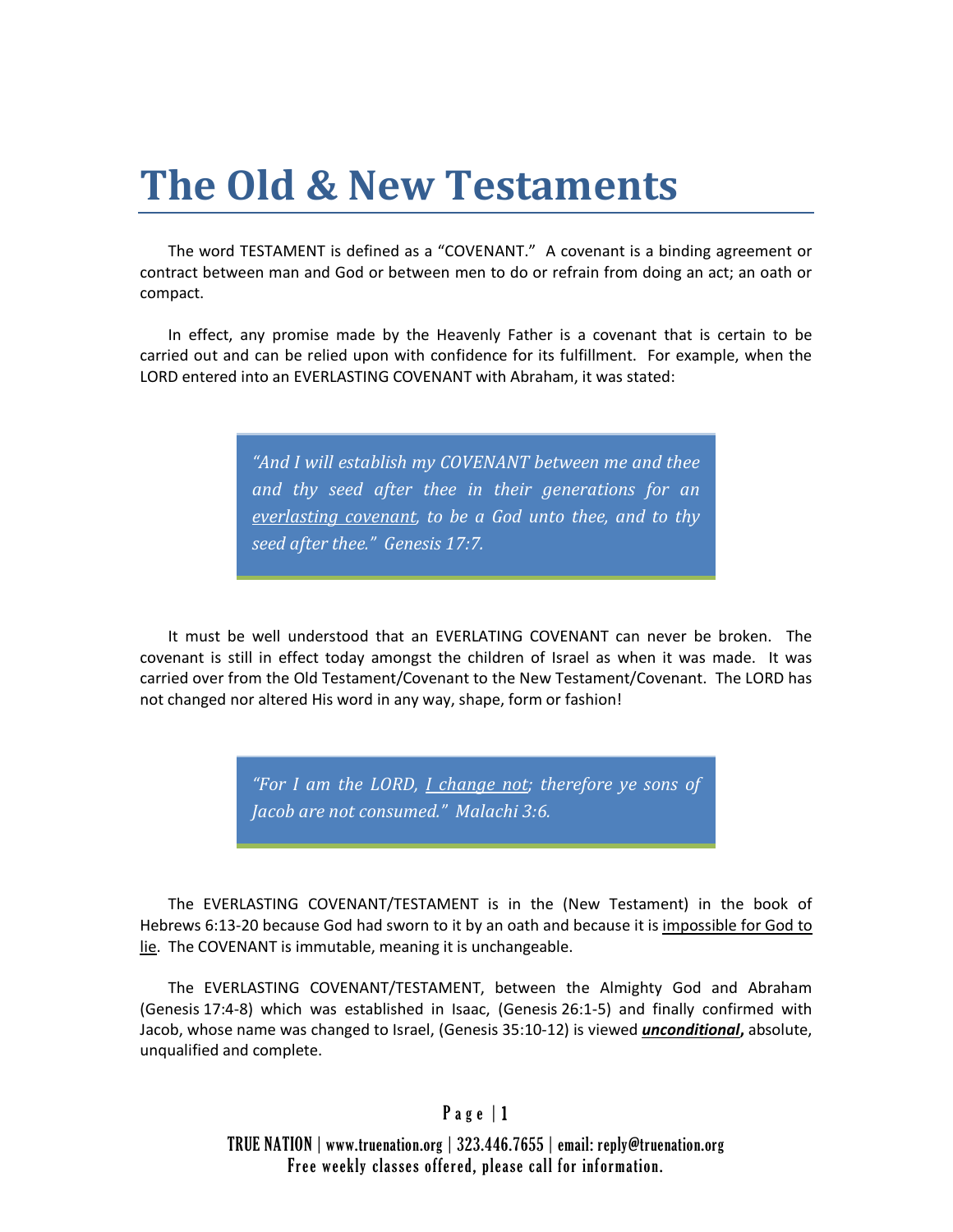## **The Old & New Testaments**

The word TESTAMENT is defined as a "COVENANT." A covenant is a binding agreement or contract between man and God or between men to do or refrain from doing an act; an oath or compact.

In effect, any promise made by the Heavenly Father is a covenant that is certain to be carried out and can be relied upon with confidence for its fulfillment. For example, when the LORD entered into an EVERLASTING COVENANT with Abraham, it was stated:

> *"And I will establish my COVENANT between me and thee and thy seed after thee in their generations for an everlasting covenant, to be a God unto thee, and to thy seed after thee." Genesis 17:7.*

It must be well understood that an EVERLATING COVENANT can never be broken. The covenant is still in effect today amongst the children of Israel as when it was made. It was carried over from the Old Testament/Covenant to the New Testament/Covenant. The LORD has not changed nor altered His word in any way, shape, form or fashion!

> *"For I am the LORD, I change not; therefore ye sons of Jacob are not consumed." Malachi 3:6.*

The EVERLASTING COVENANT/TESTAMENT is in the (New Testament) in the book of Hebrews 6:13-20 because God had sworn to it by an oath and because it is impossible for God to lie. The COVENANT is immutable, meaning it is unchangeable.

The EVERLASTING COVENANT/TESTAMENT, between the Almighty God and Abraham (Genesis 17:4-8) which was established in Isaac, (Genesis 26:1-5) and finally confirmed with Jacob, whose name was changed to Israel, (Genesis 35:10-12) is viewed *unconditional***,** absolute, unqualified and complete.

## Page 11

TRUE NATION | www.truenation.org | 323.446.7655 | email: reply@truenation.org Free weekly classes offered, please call for information.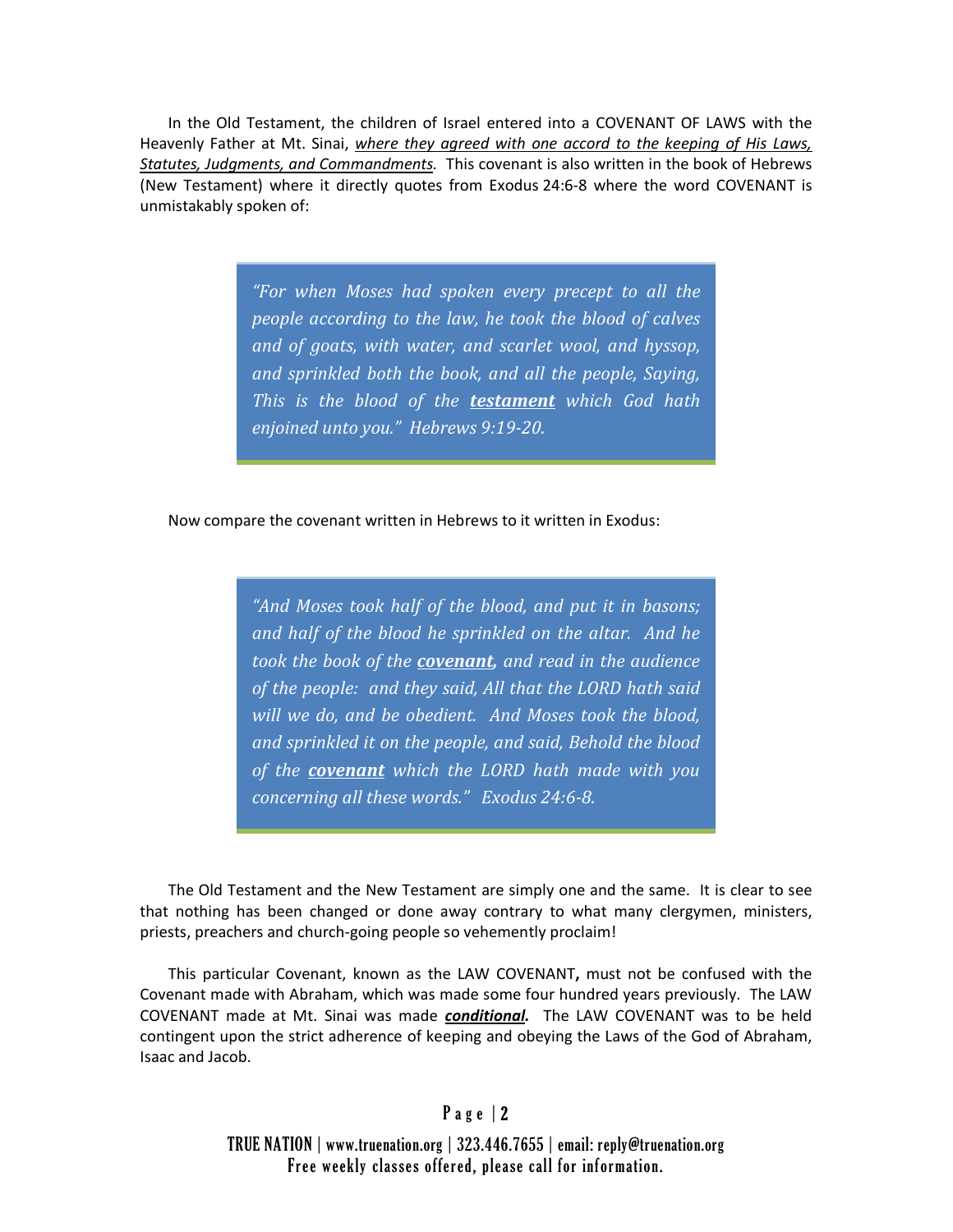In the Old Testament, the children of Israel entered into a COVENANT OF LAWS with the Heavenly Father at Mt. Sinai, *where they agreed with one accord to the keeping of His Laws, Statutes, Judgments, and Commandments.* This covenant is also written in the book of Hebrews (New Testament) where it directly quotes from Exodus 24:6-8 where the word COVENANT is unmistakably spoken of:

> *"For when Moses had spoken every precept to all the people according to the law, he took the blood of calves and of goats, with water, and scarlet wool, and hyssop, and sprinkled both the book, and all the people, Saying, This is the blood of the testament which God hath enjoined unto you." Hebrews 9:19-20.*

Now compare the covenant written in Hebrews to it written in Exodus:

*"And Moses took half of the blood, and put it in basons; and half of the blood he sprinkled on the altar. And he took the book of the covenant, and read in the audience of the people: and they said, All that the LORD hath said will we do, and be obedient. And Moses took the blood, and sprinkled it on the people, and said, Behold the blood of the covenant which the LORD hath made with you concerning all these words." Exodus 24:6-8.*

The Old Testament and the New Testament are simply one and the same. It is clear to see that nothing has been changed or done away contrary to what many clergymen, ministers, priests, preachers and church-going people so vehemently proclaim!

This particular Covenant, known as the LAW COVENANT**,** must not be confused with the Covenant made with Abraham, which was made some four hundred years previously. The LAW COVENANT made at Mt. Sinai was made *conditional.* The LAW COVENANT was to be held contingent upon the strict adherence of keeping and obeying the Laws of the God of Abraham, Isaac and Jacob.

## Page | 2

TRUE NATION | www.truenation.org | 323.446.7655 | email: reply@truenation.org Free weekly classes offered, please call for information.